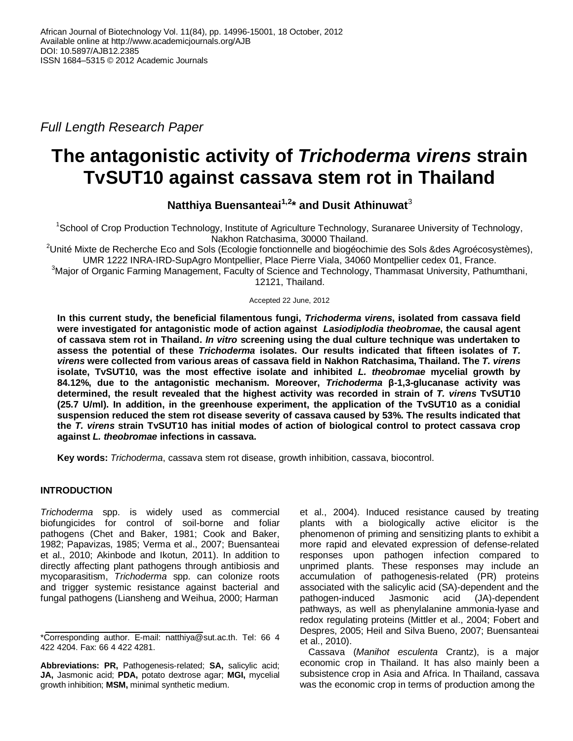*Full Length Research Paper* 

# **The antagonistic activity of** *Trichoderma virens* **strain TvSUT10 against cassava stem rot in Thailand**

**Natthiya Buensanteai1,2 \* and Dusit Athinuwat**<sup>3</sup>

<sup>1</sup>School of Crop Production Technology, Institute of Agriculture Technology, Suranaree University of Technology, Nakhon Ratchasima, 30000 Thailand.

<sup>2</sup>Unité Mixte de Recherche Eco and Sols (Ecologie fonctionnelle and biogéochimie des Sols & des Agroécosystèmes), UMR 1222 INRA-IRD-SupAgro Montpellier, Place Pierre Viala, 34060 Montpellier cedex 01, France.

 $3$ Major of Organic Farming Management, Faculty of Science and Technology, Thammasat University, Pathumthani, 12121, Thailand.

Accepted 22 June, 2012

**In this current study, the beneficial filamentous fungi,** *Trichoderma virens***, isolated from cassava field were investigated for antagonistic mode of action against** *Lasiodiplodia theobromae***, the causal agent of cassava stem rot in Thailand.** *In vitro* **screening using the dual culture technique was undertaken to assess the potential of these** *Trichoderma* **isolates. Our results indicated that fifteen isolates of** *T. virens* **were collected from various areas of cassava field in Nakhon Ratchasima, Thailand. The** *T. virens* **isolate, TvSUT10, was the most effective isolate and inhibited** *L. theobromae* **mycelial growth by 84.12%, due to the antagonistic mechanism. Moreover,** *Trichoderma* **β-1,3-glucanase activity was determined, the result revealed that the highest activity was recorded in strain of** *T. virens* **TvSUT10 (25.7 U/ml). In addition, in the greenhouse experiment, the application of the TvSUT10 as a conidial suspension reduced the stem rot disease severity of cassava caused by 53%. The results indicated that the** *T. virens* **strain TvSUT10 has initial modes of action of biological control to protect cassava crop against** *L. theobromae* **infections in cassava.**

**Key words:** *Trichoderma*, cassava stem rot disease, growth inhibition, cassava, biocontrol.

# **INTRODUCTION**

*Trichoderma* spp. is widely used as commercial biofungicides for control of soil-borne and foliar pathogens (Chet and Baker, 1981; Cook and Baker, 1982; Papavizas, 1985; Verma et al., 2007; Buensanteai et al., 2010; Akinbode and Ikotun, 2011). In addition to directly affecting plant pathogens through antibiosis and mycoparasitism, *Trichoderma* spp. can colonize roots and trigger systemic resistance against bacterial and fungal pathogens (Liansheng and Weihua, 2000; Harman

et al., 2004). Induced resistance caused by treating plants with a biologically active elicitor is the phenomenon of priming and sensitizing plants to exhibit a more rapid and elevated expression of defense-related responses upon pathogen infection compared to unprimed plants. These responses may include an accumulation of pathogenesis-related (PR) proteins associated with the salicylic acid (SA)-dependent and the pathogen-induced Jasmonic acid (JA)-dependent pathways, as well as phenylalanine ammonia-lyase and redox regulating proteins (Mittler et al., 2004; Fobert and Despres, 2005; Heil and Silva Bueno, 2007; Buensanteai et al., 2010).

Cassava (*Manihot esculenta* Crantz), is a major economic crop in Thailand. It has also mainly been a subsistence crop in Asia and Africa. In Thailand, cassava was the economic crop in terms of production among the

<sup>\*</sup>Corresponding author. E-mail: natthiya@sut.ac.th. Tel: 66 4 422 4204. Fax: 66 4 422 4281.

**Abbreviations: PR,** Pathogenesis-related; **SA,** salicylic acid; **JA,** Jasmonic acid; **PDA,** potato dextrose agar; **MGI,** mycelial growth inhibition; **MSM,** minimal synthetic medium.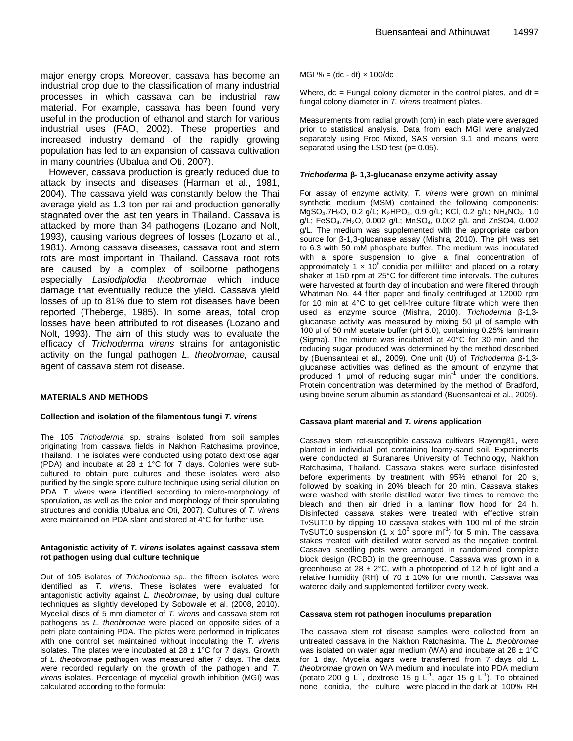major energy crops. Moreover, cassava has become an industrial crop due to the classification of many industrial processes in which cassava can be industrial raw material. For example, cassava has been found very useful in the production of ethanol and starch for various industrial uses (FAO, 2002). These properties and increased industry demand of the rapidly growing population has led to an expansion of cassava cultivation in many countries (Ubalua and Oti, 2007).

However, cassava production is greatly reduced due to attack by insects and diseases (Harman et al., 1981, 2004). The cassava yield was constantly below the Thai average yield as 1.3 ton per rai and production generally stagnated over the last ten years in Thailand. Cassava is attacked by more than 34 pathogens (Lozano and Nolt, 1993), causing various degrees of losses (Lozano et al., 1981). Among cassava diseases, cassava root and stem rots are most important in Thailand. Cassava root rots are caused by a complex of soilborne pathogens especially *Lasiodiplodia theobromae* which induce damage that eventually reduce the yield. Cassava yield losses of up to 81% due to stem rot diseases have been reported (Theberge, 1985). In some areas, total crop losses have been attributed to rot diseases (Lozano and Nolt, 1993). The aim of this study was to evaluate the efficacy of *Trichoderma virens* strains for antagonistic activity on the fungal pathogen *L. theobromae,* causal agent of cassava stem rot disease.

### **MATERIALS AND METHODS**

## **Collection and isolation of the filamentous fungi** *T. virens*

The 105 *Trichoderma* sp. strains isolated from soil samples originating from cassava fields in Nakhon Ratchasima province, Thailand. The isolates were conducted using potato dextrose agar (PDA) and incubate at 28  $\pm$  1°C for 7 days. Colonies were subcultured to obtain pure cultures and these isolates were also purified by the single spore culture technique using serial dilution on PDA. *T. virens* were identified according to micro-morphology of sporulation, as well as the color and morphology of their sporulating structures and conidia (Ubalua and Oti, 2007). Cultures of *T. virens* were maintained on PDA slant and stored at 4°C for further use.

## **Antagonistic activity of** *T. virens* **isolates against cassava stem rot pathogen using dual culture technique**

Out of 105 isolates of *Trichoderma* sp., the fifteen isolates were identified as *T. virens*. These isolates were evaluated for antagonistic activity against *L. theobromae*, by using dual culture techniques as slightly developed by Sobowale et al. (2008, 2010). Mycelial discs of 5 mm diameter of *T. virens* and cassava stem rot pathogens as *L. theobromae* were placed on opposite sides of a petri plate containing PDA. The plates were performed in triplicates with one control set maintained without inoculating the *T. virens*  isolates. The plates were incubated at  $28 \pm 1^{\circ}$ C for 7 days. Growth of *L. theobromae* pathogen was measured after 7 days*.* The data were recorded regularly on the growth of the pathogen and *T. virens* isolates. Percentage of mycelial growth inhibition (MGI) was calculated according to the formula:

MGI % =  $(dc - dt) \times 100$ /dc

Where,  $dc = Fungal colony diameter in the control plates, and  $dt =$$ fungal colony diameter in *T. virens* treatment plates.

Measurements from radial growth (cm) in each plate were averaged prior to statistical analysis. Data from each MGI were analyzed separately using Proc Mixed, SAS version 9.1 and means were separated using the LSD test ( $p= 0.05$ ).

#### *Trichoderma* **β- 1,3-glucanase enzyme activity assay**

For assay of enzyme activity, *T. virens* were grown on minimal synthetic medium (MSM) contained the following components: MgSO<sub>4</sub>.7H<sub>2</sub>O, 0.2 g/L; K<sub>2</sub>HPO<sub>4</sub>, 0.9 g/L; KCl, 0.2 g/L; NH<sub>4</sub>NO<sub>3</sub>, 1.0 g/L; FeSO<sub>4</sub>.7H<sub>2</sub>O, 0.002 g/L; MnSO<sub>4</sub>, 0.002 g/L and ZnSO4, 0.002 g/L. The medium was supplemented with the appropriate carbon source for β-1,3-glucanase assay (Mishra, 2010). The pH was set to 6.3 with 50 mM phosphate buffer. The medium was inoculated with a spore suspension to give a final concentration of approximately 1  $\times$  10<sup>6</sup> conidia per milliliter and placed on a rotary shaker at 150 rpm at 25°C for different time intervals. The cultures were harvested at fourth day of incubation and were filtered through Whatman No. 44 filter paper and finally centrifuged at 12000 rpm for 10 min at 4°C to get cell-free culture filtrate which were then used as enzyme source (Mishra, 2010). *Trichoderma* β-1,3 glucanase activity was measured by mixing 50 μl of sample with 100 μl of 50 mM acetate buffer (pH 5.0), containing 0.25% laminarin (Sigma). The mixture was incubated at 40°C for 30 min and the reducing sugar produced was determined by the method described by (Buensanteai et al., 2009). One unit (U) of *Trichoderma* β-1,3 glucanase activities was defined as the amount of enzyme that produced 1  $\mu$ mol of reducing sugar min<sup>-1</sup> under the conditions. Protein concentration was determined by the method of Bradford, using bovine serum albumin as standard (Buensanteai et al., 2009).

### **Cassava plant material and** *T. virens* **application**

Cassava stem rot-susceptible cassava cultivars Rayong81, were planted in individual pot containing loamy-sand soil. Experiments were conducted at Suranaree University of Technology, Nakhon Ratchasima, Thailand. Cassava stakes were surface disinfested before experiments by treatment with 95% ethanol for 20 s, followed by soaking in 20% bleach for 20 min. Cassava stakes were washed with sterile distilled water five times to remove the bleach and then air dried in a laminar flow hood for 24 h. Disinfected cassava stakes were treated with effective strain TvSUT10 by dipping 10 cassava stakes with 100 ml of the strain TvSUT10 suspension (1 x  $10^6$  spore ml<sup>-1</sup>) for 5 min. The cassava stakes treated with distilled water served as the negative control. Cassava seedling pots were arranged in randomized complete block design (RCBD) in the greenhouse. Cassava was grown in a greenhouse at  $28 \pm 2^{\circ}$ C, with a photoperiod of 12 h of light and a relative humidity (RH) of 70  $\pm$  10% for one month. Cassava was watered daily and supplemented fertilizer every week.

#### **Cassava stem rot pathogen inoculums preparation**

The cassava stem rot disease samples were collected from an untreated cassava in the Nakhon Ratchasima. The *L. theobromae* was isolated on water agar medium (WA) and incubate at  $28 \pm 1^{\circ}$ C for 1 day. Mycelia agars were transferred from 7 days old *L. theobromae* grown on WA medium and inoculate into PDA medium (potato 200 g  $L^{-1}$ , dextrose 15 g  $L^{-1}$ , agar 15 g  $L^{-1}$ ). To obtained none conidia, the culture were placed in the dark at 100% RH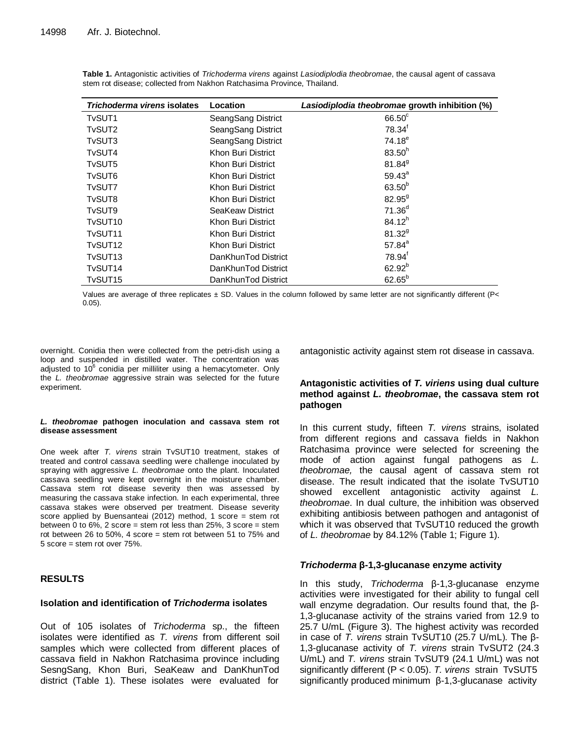| Trichoderma virens isolates      | Location            | Lasiodiplodia theobromae growth inhibition (%) |
|----------------------------------|---------------------|------------------------------------------------|
| T <sub>v</sub> SUT <sub>1</sub>  | SeangSang District  | $66.50^{\circ}$                                |
| T <sub>v</sub> SUT <sub>2</sub>  | SeangSang District  | $78.34^{\dagger}$                              |
| T <sub>v</sub> SUT3              | SeangSang District  | $74.18^{e}$                                    |
| TvSUT4                           | Khon Buri District  | 83.50 <sup>h</sup>                             |
| T <sub>v</sub> SUT <sub>5</sub>  | Khon Buri District  | $81.84^{9}$                                    |
| T <sub>v</sub> SUT <sub>6</sub>  | Khon Buri District  | $59.43^a$                                      |
| TvSUT7                           | Khon Buri District  | $63.50^{b}$                                    |
| T <sub>v</sub> SUT <sub>8</sub>  | Khon Buri District  | $82.95^{9}$                                    |
| T <sub>v</sub> SUT <sub>9</sub>  | SeaKeaw District    | $71.36^{d}$                                    |
| TvSUT <sub>10</sub>              | Khon Buri District  | $84.12^{h}$                                    |
| TvSUT <sub>11</sub>              | Khon Buri District  | $81.32^{9}$                                    |
| TvSUT <sub>12</sub>              | Khon Buri District  | $57.84^{a}$                                    |
| T <sub>v</sub> SUT <sub>13</sub> | DanKhunTod District | $78.94^{\dagger}$                              |
| TvSUT <sub>14</sub>              | DanKhunTod District | $62.92^{b}$                                    |
| TvSUT <sub>15</sub>              | DanKhunTod District | $62.65^{b}$                                    |

**Table 1.** Antagonistic activities of *Trichoderma virens* against *Lasiodiplodia theobromae*, the causal agent of cassava stem rot disease; collected from Nakhon Ratchasima Province, Thailand.

Values are average of three replicates ± SD. Values in the column followed by same letter are not significantly different (P< 0.05).

overnight. Conidia then were collected from the petri-dish using a loop and suspended in distilled water. The concentration was adjusted to 10 $6$  conidia per milliliter using a hemacytometer. Only the *L. theobromae* aggressive strain was selected for the future experiment.

## *L. theobromae* **pathogen inoculation and cassava stem rot disease assessment**

One week after *T. virens* strain TvSUT10 treatment, stakes of treated and control cassava seedling were challenge inoculated by spraying with aggressive *L. theobromae* onto the plant. Inoculated cassava seedling were kept overnight in the moisture chamber. Cassava stem rot disease severity then was assessed by measuring the cassava stake infection. In each experimental, three cassava stakes were observed per treatment. Disease severity score applied by Buensanteai (2012) method, 1 score = stem rot between 0 to 6%, 2 score = stem rot less than 25%, 3 score = stem rot between 26 to 50%, 4 score = stem rot between 51 to 75% and 5 score = stem rot over 75%.

# **RESULTS**

# **Isolation and identification of** *Trichoderma* **isolates**

Out of 105 isolates of *Trichoderma* sp., the fifteen isolates were identified as *T. virens* from different soil samples which were collected from different places of cassava field in Nakhon Ratchasima province including SesngSang, Khon Buri, SeaKeaw and DanKhunTod district (Table 1). These isolates were evaluated for antagonistic activity against stem rot disease in cassava.

# **Antagonistic activities of** *T. viriens* **using dual culture method against** *L. theobromae***, the cassava stem rot pathogen**

In this current study, fifteen *T. virens* strains, isolated from different regions and cassava fields in Nakhon Ratchasima province were selected for screening the mode of action against fungal pathogens as *L. theobromae,* the causal agent of cassava stem rot disease. The result indicated that the isolate TvSUT10 showed excellent antagonistic activity against *L. theobromae*. In dual culture, the inhibition was observed exhibiting antibiosis between pathogen and antagonist of which it was observed that TvSUT10 reduced the growth of *L. theobromae* by 84.12% (Table 1; Figure 1).

# *Trichoderma* **β-1,3-glucanase enzyme activity**

In this study, *Trichoderma* β-1,3-glucanase enzyme activities were investigated for their ability to fungal cell wall enzyme degradation. Our results found that, the β-1,3-glucanase activity of the strains varied from 12.9 to 25.7 U/mL (Figure 3). The highest activity was recorded in case of *T. virens* strain TvSUT10 (25.7 U/mL). The β-1,3-glucanase activity of *T. virens* strain TvSUT2 (24.3 U/mL) and *T. virens* strain TvSUT9 (24.1 U/mL) was not significantly different (P < 0.05). *T. virens* strain TvSUT5 significantly produced minimum β-1,3-glucanase activity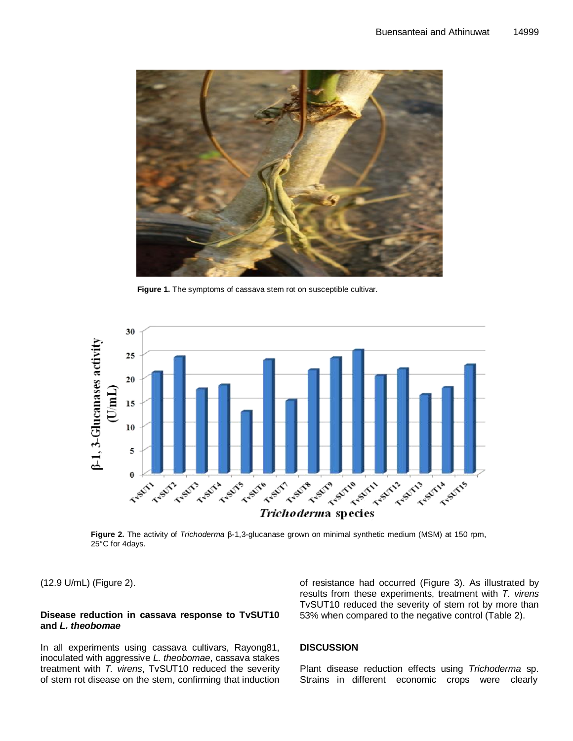

**Figure 1.** The symptoms of cassava stem rot on susceptible cultivar.



**Figure 2.** The activity of *Trichoderma* β-1,3-glucanase grown on minimal synthetic medium (MSM) at 150 rpm, 25°C for 4days.

(12.9 U/mL) (Figure 2).

## **Disease reduction in cassava response to TvSUT10 and** *L. theobomae*

In all experiments using cassava cultivars, Rayong81, inoculated with aggressive *L. theobomae*, cassava stakes treatment with *T. virens*, TvSUT10 reduced the severity of stem rot disease on the stem, confirming that induction of resistance had occurred (Figure 3). As illustrated by results from these experiments, treatment with *T. virens* TvSUT10 reduced the severity of stem rot by more than 53% when compared to the negative control (Table 2).

## **DISCUSSION**

Plant disease reduction effects using *Trichoderma* sp. Strains in different economic crops were clearly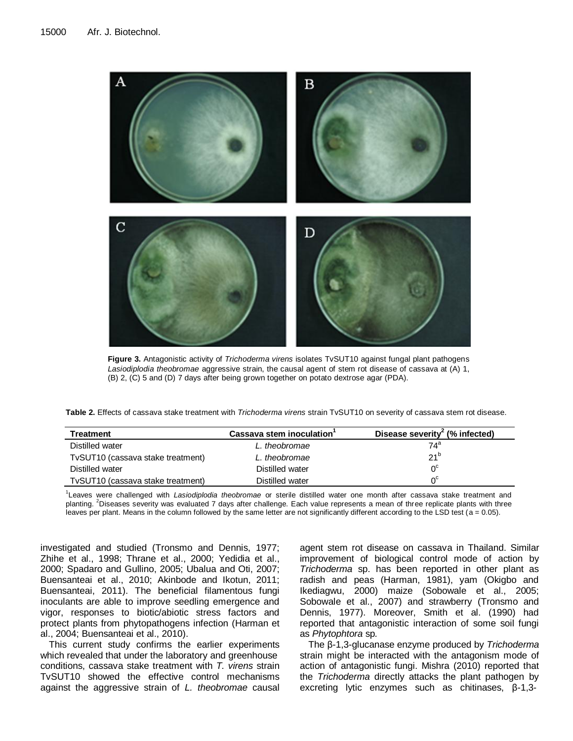

**Figure 3.** Antagonistic activity of *Trichoderma virens* isolates TvSUT10 against fungal plant pathogens *Lasiodiplodia theobromae* aggressive strain, the causal agent of stem rot disease of cassava at (A) 1, (B) 2, (C) 5 and (D) 7 days after being grown together on potato dextrose agar (PDA).

| <b>Treatment</b>                  | Cassava stem inoculation | Disease severity <sup>2</sup> (% infected) |
|-----------------------------------|--------------------------|--------------------------------------------|
| Distilled water                   | L, theobromae            | 74ª                                        |
| TvSUT10 (cassava stake treatment) | L, theobromae            | $21^{\circ}$                               |
| Distilled water                   | Distilled water          | ∩°                                         |
| TvSUT10 (cassava stake treatment) | Distilled water          | ∩°                                         |

1 Leaves were challenged with *Lasiodiplodia theobromae* or sterile distilled water one month after cassava stake treatment and planting. <sup>2</sup>Diseases severity was evaluated 7 days after challenge. Each value represents a mean of three replicate plants with three leaves per plant. Means in the column followed by the same letter are not significantly different according to the LSD test (a = 0.05).

investigated and studied (Tronsmo and Dennis, 1977; Zhihe et al., 1998; Thrane et al., 2000; Yedidia et al., 2000; Spadaro and Gullino, 2005; Ubalua and Oti, 2007; Buensanteai et al., 2010; Akinbode and Ikotun, 2011; Buensanteai, 2011). The beneficial filamentous fungi inoculants are able to improve seedling emergence and vigor, responses to biotic/abiotic stress factors and protect plants from phytopathogens infection (Harman et al., 2004; Buensanteai et al., 2010).

This current study confirms the earlier experiments which revealed that under the laboratory and greenhouse conditions, cassava stake treatment with *T. virens* strain TvSUT10 showed the effective control mechanisms against the aggressive strain of *L. theobromae* causal

agent stem rot disease on cassava in Thailand. Similar improvement of biological control mode of action by *Trichoderma* sp. has been reported in other plant as radish and peas (Harman, 1981), yam (Okigbo and Ikediagwu, 2000) maize (Sobowale et al., 2005; Sobowale et al., 2007) and strawberry (Tronsmo and Dennis, 1977). Moreover, Smith et al. (1990) had reported that antagonistic interaction of some soil fungi as *Phytophtora* sp*.* 

The β-1,3-glucanase enzyme produced by *Trichoderma*  strain might be interacted with the antagonism mode of action of antagonistic fungi. Mishra (2010) reported that the *Trichoderma* directly attacks the plant pathogen by excreting lytic enzymes such as chitinases, β-1,3